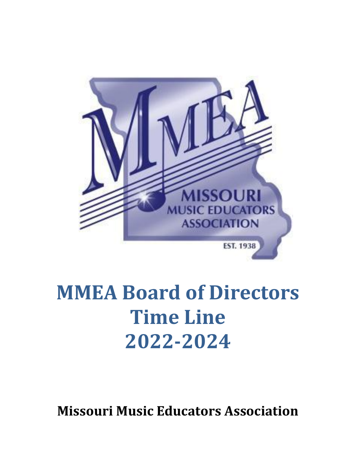

# **MMEA Board of Directors Time Line 2022-2024**

**Missouri Music Educators Association**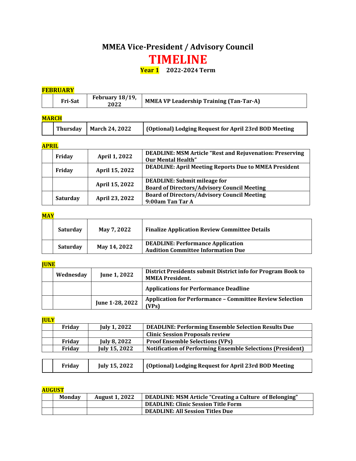# **MMEA Vice-President / Advisory Council TIMELINE**

**Year 1 2022-2024 Term**

#### **FEBRUARY**

| 2022 |
|------|
|------|

| <b>MARCH</b> |                           |                                                       |  |  |
|--------------|---------------------------|-------------------------------------------------------|--|--|
|              | Thursday   March 24, 2022 | (Optional) Lodging Request for April 23rd BOD Meeting |  |  |

# **APRIL**

| Friday          | April 1, 2022  | <b>DEADLINE: MSM Article "Rest and Rejuvenation: Preserving</b><br><b>Our Mental Health"</b> |
|-----------------|----------------|----------------------------------------------------------------------------------------------|
| Friday          | April 15, 2022 | <b>DEADLINE: April Meeting Reports Due to MMEA President</b>                                 |
|                 | April 15, 2022 | <b>DEADLINE:</b> Submit mileage for<br><b>Board of Directors/Advisory Council Meeting</b>    |
| <b>Saturday</b> | April 23, 2022 | <b>Board of Directors/Advisory Council Meeting</b><br>9:00am Tan Tar A                       |

# **MAY**

| Saturday        | May 7, 2022  | <b>Finalize Application Review Committee Details</b>                                  |
|-----------------|--------------|---------------------------------------------------------------------------------------|
| <b>Saturday</b> | May 14, 2022 | <b>DEADLINE: Performance Application</b><br><b>Audition Committee Information Due</b> |

# **JUNE**

| Wednesday | <b>June 1, 2022</b> | District Presidents submit District info for Program Book to<br><b>MMEA President.</b> |
|-----------|---------------------|----------------------------------------------------------------------------------------|
|           |                     | <b>Applications for Performance Deadline</b>                                           |
|           | June 1-28, 2022     | <b>Application for Performance - Committee Review Selection</b><br>(VPs)               |

**JULY**

| Friday | <b>July 1, 2022</b> | <b>DEADLINE: Performing Ensemble Selection Results Due</b>        |
|--------|---------------------|-------------------------------------------------------------------|
|        |                     | <b>Clinic Session Proposals review</b>                            |
| Friday | <b>July 8, 2022</b> | <b>Proof Ensemble Selections (VPs)</b>                            |
| Friday | July 15, 2022       | <b>Notification of Performing Ensemble Selections (President)</b> |
|        |                     |                                                                   |
| Friday | July 15, 2022       | (Optional) Lodging Request for April 23rd BOD Meeting             |

**AUGUST**

| Monday | <b>August 1, 2022</b> | DEADLINE: MSM Article "Creating a Culture of Belonging" |  |  |
|--------|-----------------------|---------------------------------------------------------|--|--|
|        |                       | <b>DEADLINE: Clinic Session Title Form</b>              |  |  |
|        |                       | <b>DEADLINE: All Session Titles Due</b>                 |  |  |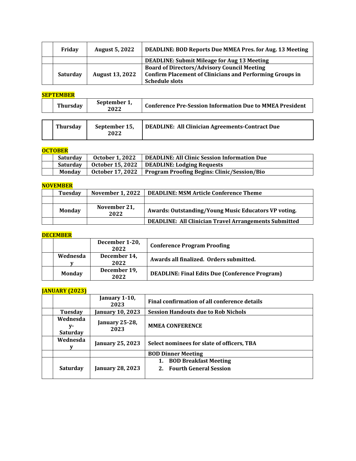| Friday   | <b>August 5, 2022</b>  | <b>DEADLINE: BOD Reports Due MMEA Pres. for Aug. 13 Meeting</b> |
|----------|------------------------|-----------------------------------------------------------------|
|          |                        | DEADLINE: Submit Mileage for Aug 13 Meeting                     |
|          |                        | <b>Board of Directors/Advisory Council Meeting</b>              |
| Saturday | <b>August 13, 2022</b> | <b>Confirm Placement of Clinicians and Performing Groups in</b> |
|          |                        | <b>Schedule slots</b>                                           |

#### **SEPTEMBER**

| <b>Thursdav</b> | September 1,<br>2022 | <b>Conference Pre-Session Information Due to MMEA President</b> |  |
|-----------------|----------------------|-----------------------------------------------------------------|--|
|                 |                      |                                                                 |  |
| Thursdav        | September 15,        | DEADLINE: All Clinician Agreements-Contract Due                 |  |

| <b>OCTOBER</b> |  |
|----------------|--|

**2022**

| Saturday        | <b>October 1, 2022</b> | DEADLINE: All Clinic Session Information Due                   |  |  |
|-----------------|------------------------|----------------------------------------------------------------|--|--|
| <b>Saturday</b> |                        | October 15, 2022   DEADLINE: Lodging Requests                  |  |  |
| <b>Monday</b>   |                        | October 17, 2022   Program Proofing Begins: Clinic/Session/Bio |  |  |

#### **NOVEMBER**

| <b>Tuesday</b> | <b>November 1, 2022</b> | <b>DEADLINE: MSM Article Conference Theme</b>                |  |  |
|----------------|-------------------------|--------------------------------------------------------------|--|--|
|                |                         |                                                              |  |  |
| Monday         | November 21,<br>2022    | Awards: Outstanding/Young Music Educators VP voting.         |  |  |
|                |                         | <b>DEADLINE: All Clinician Travel Arrangements Submitted</b> |  |  |

## **DECEMBER**

|               | December 1-20,<br>2022 | <b>Conference Program Proofing</b>                    |
|---------------|------------------------|-------------------------------------------------------|
| Wednesda      | December 14,<br>2022   | Awards all finalized. Orders submitted.               |
| <b>Monday</b> | December 19,<br>2022   | <b>DEADLINE: Final Edits Due (Conference Program)</b> |

#### **JANUARY (2023)**

|                                   | January 1-10,<br>2023         | Final confirmation of all conference details                    |
|-----------------------------------|-------------------------------|-----------------------------------------------------------------|
| Tuesday                           | January 10, 2023              | <b>Session Handouts due to Rob Nichols</b>                      |
| Wednesda<br>y-<br><b>Saturday</b> | <b>January 25-28,</b><br>2023 | <b>MMEA CONFERENCE</b>                                          |
| Wednesda                          | <b>January 25, 2023</b>       | Select nominees for slate of officers, TBA                      |
|                                   |                               | <b>BOD Dinner Meeting</b>                                       |
| <b>Saturday</b>                   | <b>January 28, 2023</b>       | <b>BOD Breakfast Meeting</b><br>1.<br>2. Fourth General Session |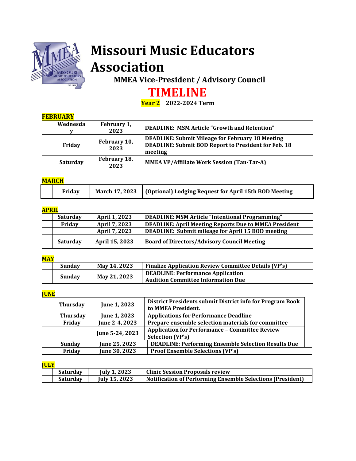

# **Missouri Music Educators Association**

 **MMEA Vice-President / Advisory Council**

# **TIMELINE**

**Year 2 2022-2024 Term**

# **FEBRUARY**

| Wednesda        | February 1,<br>2023  | DEADLINE: MSM Article "Growth and Retention"                                                                                      |  |
|-----------------|----------------------|-----------------------------------------------------------------------------------------------------------------------------------|--|
| Friday          | February 10,<br>2023 | <b>DEADLINE: Submit Mileage for February 18 Meeting</b><br><b>DEADLINE: Submit BOD Report to President for Feb. 18</b><br>meeting |  |
| <b>Saturday</b> | February 18,<br>2023 | <b>MMEA VP/Affiliate Work Session (Tan-Tar-A)</b>                                                                                 |  |

# **MARCH**

|  | Friday |  | March 17, 2023   (Optional) Lodging Request for April 15th BOD Meeting |
|--|--------|--|------------------------------------------------------------------------|
|--|--------|--|------------------------------------------------------------------------|

# **APRIL**

| .        |                |                                                              |  |  |
|----------|----------------|--------------------------------------------------------------|--|--|
| Saturday | April 1, 2023  | DEADLINE: MSM Article "Intentional Programming"              |  |  |
| Friday   | April 7, 2023  | <b>DEADLINE: April Meeting Reports Due to MMEA President</b> |  |  |
|          | April 7, 2023  | DEADLINE: Submit mileage for April 15 BOD meeting            |  |  |
| Saturday | April 15, 2023 | <b>Board of Directors/Advisory Council Meeting</b>           |  |  |

# **MAY**

| <b>Sunday</b> | May 14, 2023                             | <b>Finalize Application Review Committee Details (VP's)</b> |
|---------------|------------------------------------------|-------------------------------------------------------------|
|               | <b>DEADLINE: Performance Application</b> |                                                             |
| Sunday        | May 21, 2023                             | <b>Audition Committee Information Due</b>                   |

## **JUNE**

| <b>Thursday</b> | June 1, 2023        | District Presidents submit District info for Program Book<br>to MMEA President.  |
|-----------------|---------------------|----------------------------------------------------------------------------------|
| <b>Thursday</b> | <b>June 1, 2023</b> | <b>Applications for Performance Deadline</b>                                     |
| Friday          | June 2-4, 2023      | Prepare ensemble selection materials for committee                               |
|                 | June 5-24, 2023     | <b>Application for Performance - Committee Review</b><br><b>Selection (VP's)</b> |
| Sunday          | June 25, 2023       | <b>DEADLINE: Performing Ensemble Selection Results Due</b>                       |
| Friday          | June 30, 2023       | <b>Proof Ensemble Selections (VP's)</b>                                          |

# **JULY**

| <b>Saturday</b> | <b>July 1, 2023</b>  | <b>Clinic Session Proposals review</b>                            |
|-----------------|----------------------|-------------------------------------------------------------------|
| <b>Saturday</b> | <b>July 15, 2023</b> | <b>Notification of Performing Ensemble Selections (President)</b> |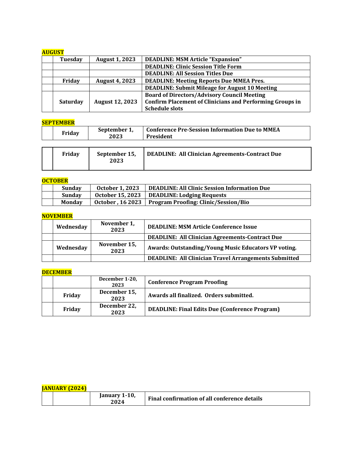### **AUGUST**

| Tuesday         | <b>August 1, 2023</b>  | <b>DEADLINE: MSM Article "Expansion"</b>                        |
|-----------------|------------------------|-----------------------------------------------------------------|
|                 |                        | <b>DEADLINE: Clinic Session Title Form</b>                      |
|                 |                        | <b>DEADLINE: All Session Titles Due</b>                         |
| Friday          | <b>August 4, 2023</b>  | <b>DEADLINE: Meeting Reports Due MMEA Pres.</b>                 |
|                 |                        | <b>DEADLINE: Submit Mileage for August 10 Meeting</b>           |
|                 |                        | <b>Board of Directors/Advisory Council Meeting</b>              |
| <b>Saturday</b> | <b>August 12, 2023</b> | <b>Confirm Placement of Clinicians and Performing Groups in</b> |
|                 |                        | <b>Schedule slots</b>                                           |

# **SEPTEMBER**

| Friday | September 1,<br>2023  | <b>Conference Pre-Session Information Due to MMEA</b><br>President |
|--------|-----------------------|--------------------------------------------------------------------|
| Friday | September 15,<br>2023 | <b>DEADLINE: All Clinician Agreements-Contract Due</b>             |
|        |                       |                                                                    |

# **OCTOBER**

| Sundav        | <b>October 1, 2023</b> | <b>DEADLINE: All Clinic Session Information Due</b>     |
|---------------|------------------------|---------------------------------------------------------|
| Sunday        |                        | October 15, 2023   DEADLINE: Lodging Requests           |
| <b>Monday</b> |                        | October, 16 2023   Program Proofing: Clinic/Session/Bio |

#### **NOVEMBER**

| Wednesday | November 1,<br>2023  | <b>DEADLINE: MSM Article Conference Issue</b>                |
|-----------|----------------------|--------------------------------------------------------------|
|           |                      | <b>DEADLINE: All Clinician Agreements-Contract Due</b>       |
| Wednesday | November 15,<br>2023 | Awards: Outstanding/Young Music Educators VP voting.         |
|           |                      | <b>DEADLINE: All Clinician Travel Arrangements Submitted</b> |

# **DECEMBER**

|        | December 1-20,<br>2023 | <b>Conference Program Proofing</b>                    |
|--------|------------------------|-------------------------------------------------------|
| Friday | December 15,<br>2023   | Awards all finalized. Orders submitted.               |
| Friday | December 22,<br>2023   | <b>DEADLINE: Final Edits Due (Conference Program)</b> |

| <b>IANUARY (2024)</b> |                              |                                              |  |  |
|-----------------------|------------------------------|----------------------------------------------|--|--|
|                       | <b>Ianuary 1-10.</b><br>2024 | Final confirmation of all conference details |  |  |